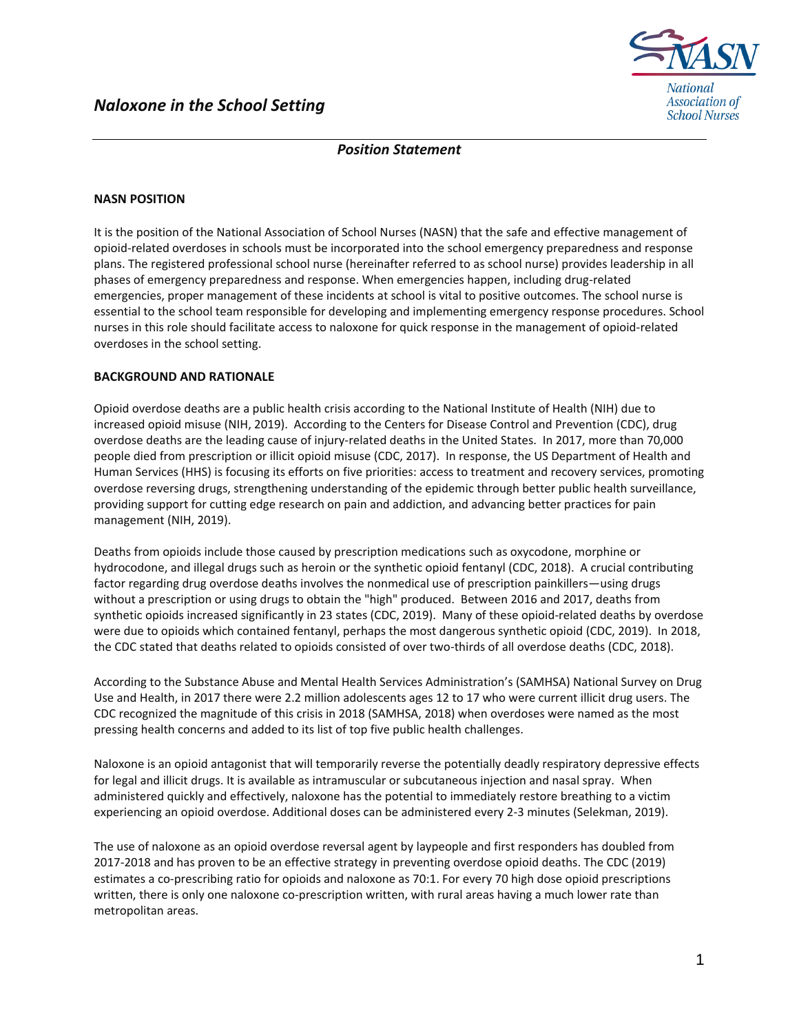

# *Position Statement*

### **NASN POSITION**

It is the position of the National Association of School Nurses (NASN) that the safe and effective management of opioid-related overdoses in schools must be incorporated into the school emergency preparedness and response plans. The registered professional school nurse (hereinafter referred to as school nurse) provides leadership in all phases of emergency preparedness and response. When emergencies happen, including drug-related emergencies, proper management of these incidents at school is vital to positive outcomes. The school nurse is essential to the school team responsible for developing and implementing emergency response procedures. School nurses in this role should facilitate access to naloxone for quick response in the management of opioid-related overdoses in the school setting.

### **BACKGROUND AND RATIONALE**

Opioid overdose deaths are a public health crisis according to the National Institute of Health (NIH) due to increased opioid misuse (NIH, 2019). According to the Centers for Disease Control and Prevention (CDC), drug overdose deaths are the leading cause of injury-related deaths in the United States. In 2017, more than 70,000 people died from prescription or illicit opioid misuse (CDC, 2017). In response, the US Department of Health and Human Services (HHS) is focusing its efforts on five priorities: access to treatment and recovery services, promoting overdose reversing drugs, strengthening understanding of the epidemic through better public health surveillance, providing support for cutting edge research on pain and addiction, and advancing better practices for pain management (NIH, 2019).

Deaths from opioids include those caused by prescription medications such as oxycodone, morphine or hydrocodone, and illegal drugs such as heroin or the synthetic opioid fentanyl (CDC, 2018). A crucial contributing factor regarding drug overdose deaths involves the nonmedical use of prescription painkillers—using drugs without a prescription or using drugs to obtain the "high" produced. Between 2016 and 2017, deaths from synthetic opioids increased significantly in 23 states (CDC, 2019). Many of these opioid-related deaths by overdose were due to opioids which contained fentanyl, perhaps the most dangerous synthetic opioid (CDC, 2019). In 2018, the CDC stated that deaths related to opioids consisted of over two-thirds of all overdose deaths (CDC, 2018).

According to the Substance Abuse and Mental Health Services Administration's (SAMHSA) National Survey on Drug Use and Health, in 2017 there were 2.2 million adolescents ages 12 to 17 who were current illicit drug users. The CDC recognized the magnitude of this crisis in 2018 (SAMHSA, 2018) when overdoses were named as the most pressing health concerns and added to its list of top five public health challenges.

Naloxone is an opioid antagonist that will temporarily reverse the potentially deadly respiratory depressive effects for legal and illicit drugs. It is available as intramuscular or subcutaneous injection and nasal spray. When administered quickly and effectively, naloxone has the potential to immediately restore breathing to a victim experiencing an opioid overdose. Additional doses can be administered every 2-3 minutes (Selekman, 2019).

The use of naloxone as an opioid overdose reversal agent by laypeople and first responders has doubled from 2017-2018 and has proven to be an effective strategy in preventing overdose opioid deaths. The CDC (2019) estimates a co-prescribing ratio for opioids and naloxone as 70:1. For every 70 high dose opioid prescriptions written, there is only one naloxone co-prescription written, with rural areas having a much lower rate than metropolitan areas.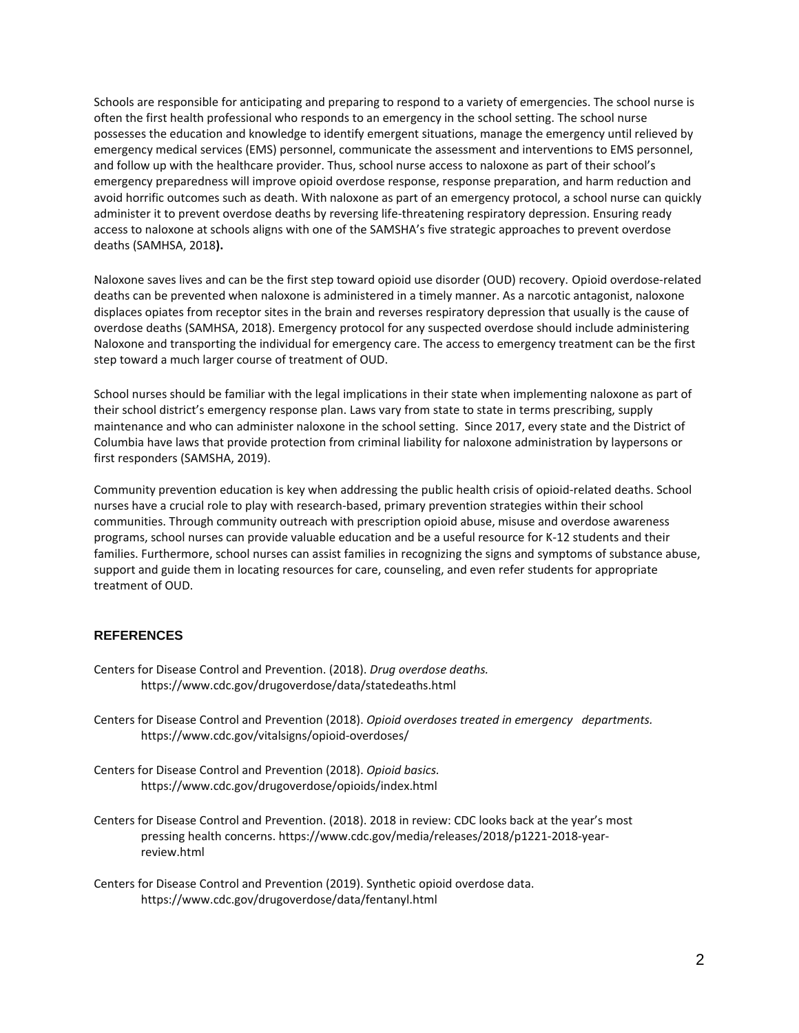Schools are responsible for anticipating and preparing to respond to a variety of emergencies. The school nurse is often the first health professional who responds to an emergency in the school setting. The school nurse possesses the education and knowledge to identify emergent situations, manage the emergency until relieved by emergency medical services (EMS) personnel, communicate the assessment and interventions to EMS personnel, and follow up with the healthcare provider. Thus, school nurse access to naloxone as part of their school's emergency preparedness will improve opioid overdose response, response preparation, and harm reduction and avoid horrific outcomes such as death. With naloxone as part of an emergency protocol, a school nurse can quickly administer it to prevent overdose deaths by reversing life-threatening respiratory depression. Ensuring ready access to naloxone at schools aligns with one of the SAMSHA's five strategic approaches to prevent overdose deaths (SAMHSA, 2018**).** 

Naloxone saves lives and can be the first step toward opioid use disorder (OUD) recovery. Opioid overdose-related deaths can be prevented when naloxone is administered in a timely manner. As a narcotic antagonist, naloxone displaces opiates from receptor sites in the brain and reverses respiratory depression that usually is the cause of overdose deaths (SAMHSA, 2018). Emergency protocol for any suspected overdose should include administering Naloxone and transporting the individual for emergency care. The access to emergency treatment can be the first step toward a much larger course of treatment of OUD.

School nurses should be familiar with the legal implications in their state when implementing naloxone as part of their school district's emergency response plan. Laws vary from state to state in terms prescribing, supply maintenance and who can administer naloxone in the school setting. Since 2017, every state and the District of Columbia have laws that provide protection from criminal liability for naloxone administration by laypersons or first responders (SAMSHA, 2019).

Community prevention education is key when addressing the public health crisis of opioid-related deaths. School nurses have a crucial role to play with research-based, primary prevention strategies within their school communities. Through community outreach with prescription opioid abuse, misuse and overdose awareness programs, school nurses can provide valuable education and be a useful resource for K-12 students and their families. Furthermore, school nurses can assist families in recognizing the signs and symptoms of substance abuse, support and guide them in locating resources for care, counseling, and even refer students for appropriate treatment of OUD.

## **REFERENCES**

- Centers for Disease Control and Prevention. (2018). *Drug overdose deaths.* https://www.cdc.gov/drugoverdose/data/statedeaths.html
- Centers for Disease Control and Prevention (2018). *Opioid overdoses treated in emergency departments.*  https://www.cdc.gov/vitalsigns/opioid-overdoses/
- Centers for Disease Control and Prevention (2018). *Opioid basics.*  https://www.cdc.gov/drugoverdose/opioids/index.html
- Centers for Disease Control and Prevention. (2018). 2018 in review: CDC looks back at the year's most pressing health concerns. https://www.cdc.gov/media/releases/2018/p1221-2018-yearreview.html
- Centers for Disease Control and Prevention (2019). Synthetic opioid overdose data. https://www.cdc.gov/drugoverdose/data/fentanyl.html